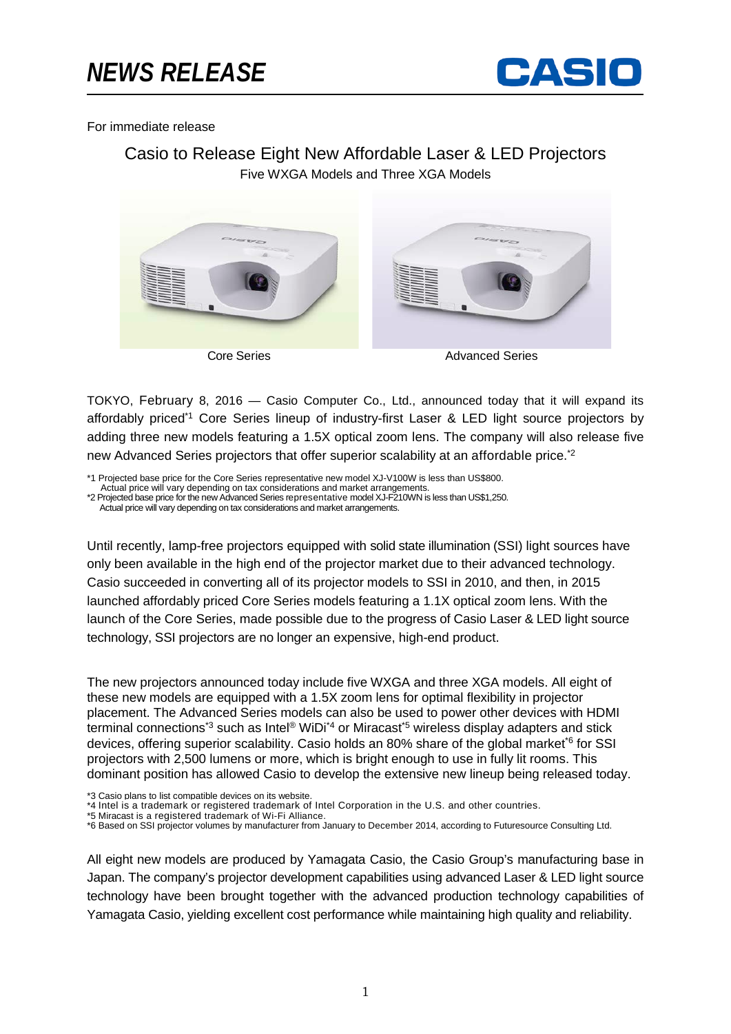

For immediate release

# Casio to Release Eight New Affordable Laser & LED Projectors Five WXGA Models and Three XGA Models



TOKYO, February 8, 2016 — Casio Computer Co., Ltd., announced today that it will expand its affordably priced\*1 Core Series lineup of industry-first Laser & LED light source projectors by adding three new models featuring a 1.5X optical zoom lens. The company will also release five new Advanced Series projectors that offer superior scalability at an affordable price.<sup>\*2</sup>

\*1 Projected base price for the Core Series representative new model XJ-V100W is less than US\$800.

Actual price will vary depending on tax considerations and market arrangements. \*2 Projected base price for the new Advanced Series representative model XJ-F210WN is less than US\$1,250.

Actual price will vary depending on tax considerations and market arrangements.

Until recently, lamp-free projectors equipped with solid state illumination (SSI) light sources have only been available in the high end of the projector market due to their advanced technology. Casio succeeded in converting all of its projector models to SSI in 2010, and then, in 2015 launched affordably priced Core Series models featuring a 1.1X optical zoom lens. With the launch of the Core Series, made possible due to the progress of Casio Laser & LED light source technology, SSI projectors are no longer an expensive, high-end product.

The new projectors announced today include five WXGA and three XGA models. All eight of these new models are equipped with a 1.5X zoom lens for optimal flexibility in projector placement. The Advanced Series models can also be used to power other devices with HDMI terminal connections<sup>\*3</sup> such as Intel<sup>®</sup> WiDi<sup>\*4</sup> or Miracast<sup>\*5</sup> wireless display adapters and stick devices, offering superior scalability. Casio holds an 80% share of the global market<sup>\*6</sup> for SSI projectors with 2,500 lumens or more, which is bright enough to use in fully lit rooms. This dominant position has allowed Casio to develop the extensive new lineup being released today.

\*3 Casio plans to list compatible devices on its website.

\*4 Intel is a trademark or registered trademark of Intel Corporation in the U.S. and other countries.

\*5 Miracast is a registered trademark of Wi-Fi Alliance.

\*6 Based on SSI projector volumes by manufacturer from January to December 2014, according to Futuresource Consulting Ltd.

All eight new models are produced by Yamagata Casio, the Casio Group's manufacturing base in Japan. The company's projector development capabilities using advanced Laser & LED light source technology have been brought together with the advanced production technology capabilities of Yamagata Casio, yielding excellent cost performance while maintaining high quality and reliability.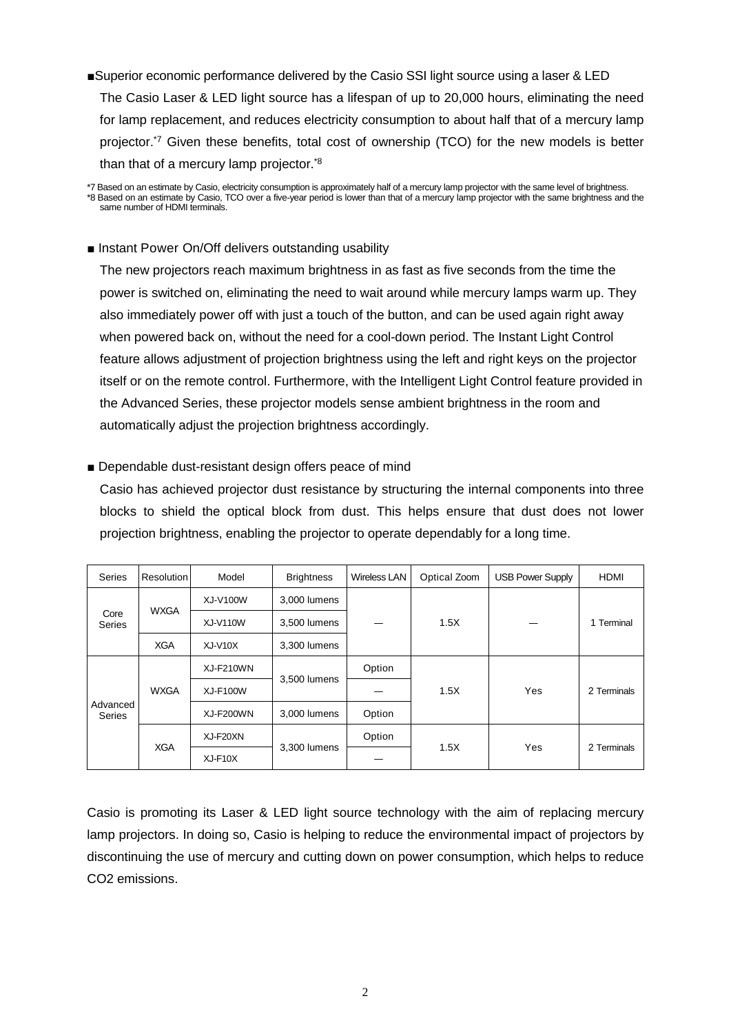■Superior economic performance delivered by the Casio SSI light source using a laser & LED The Casio Laser & LED light source has a lifespan of up to 20,000 hours, eliminating the need for lamp replacement, and reduces electricity consumption to about half that of a mercury lamp projector.\*7 Given these benefits, total cost of ownership (TCO) for the new models is better than that of a mercury lamp projector.<sup>\*8</sup>

## ■ Instant Power On/Off delivers outstanding usability

The new projectors reach maximum brightness in as fast as five seconds from the time the power is switched on, eliminating the need to wait around while mercury lamps warm up. They also immediately power off with just a touch of the button, and can be used again right away when powered back on, without the need for a cool-down period. The Instant Light Control feature allows adjustment of projection brightness using the left and right keys on the projector itself or on the remote control. Furthermore, with the Intelligent Light Control feature provided in the Advanced Series, these projector models sense ambient brightness in the room and automatically adjust the projection brightness accordingly.

## ■ Dependable dust-resistant design offers peace of mind

Casio has achieved projector dust resistance by structuring the internal components into three blocks to shield the optical block from dust. This helps ensure that dust does not lower projection brightness, enabling the projector to operate dependably for a long time.

| Series                    | Resolution  | Model           | <b>Brightness</b> | <b>Wireless LAN</b> | Optical Zoom | <b>USB Power Supply</b> | <b>HDMI</b> |
|---------------------------|-------------|-----------------|-------------------|---------------------|--------------|-------------------------|-------------|
| Core<br>Series            | <b>WXGA</b> | XJ-V100W        | 3,000 lumens      |                     | 1.5X         |                         | 1 Terminal  |
|                           |             | <b>XJ-V110W</b> | 3,500 lumens      |                     |              |                         |             |
|                           | <b>XGA</b>  | $XJ-V10X$       | 3,300 lumens      |                     |              |                         |             |
| Advanced<br><b>Series</b> | <b>WXGA</b> | XJ-F210WN       | 3,500 lumens      | Option              | 1.5X         | Yes                     | 2 Terminals |
|                           |             | <b>XJ-F100W</b> |                   |                     |              |                         |             |
|                           |             | XJ-F200WN       | 3.000 lumens      | Option              |              |                         |             |
|                           | <b>XGA</b>  | XJ-F20XN        | 3,300 lumens      | Option              | 1.5X         | Yes                     | 2 Terminals |
|                           |             | $XJ-F10X$       |                   |                     |              |                         |             |

Casio is promoting its Laser & LED light source technology with the aim of replacing mercury lamp projectors. In doing so, Casio is helping to reduce the environmental impact of projectors by discontinuing the use of mercury and cutting down on power consumption, which helps to reduce CO2 emissions.

<sup>\*7</sup> Based on an estimate by Casio, electricity consumption is approximately half of a mercury lamp projector with the same level of brightness. \*8 Based on an estimate by Casio, TCO over a five-year period is lower than that of a mercury lamp projector with the same brightness and the same number of HDMI terminals.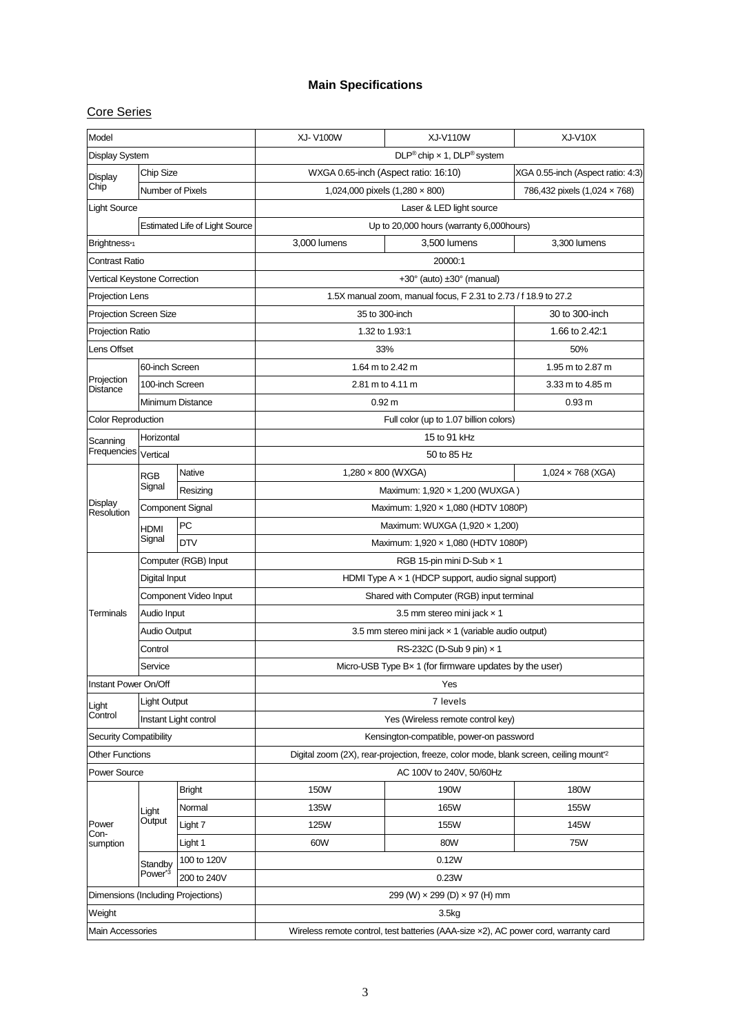## **Main Specifications**

## Core Series

| Model                                            |                                   |                                                                                                  | <b>XJ-V100W</b>                                                 | <b>XJ-V110W</b>                        | XJ-V10X      |  |  |  |
|--------------------------------------------------|-----------------------------------|--------------------------------------------------------------------------------------------------|-----------------------------------------------------------------|----------------------------------------|--------------|--|--|--|
| <b>Display System</b>                            |                                   | $DLP^{\circledR}$ chip x 1, $DLP^{\circledR}$ system                                             |                                                                 |                                        |              |  |  |  |
| Chip Size<br>Display<br>Chip<br>Number of Pixels |                                   | WXGA 0.65-inch (Aspect ratio: 16:10)                                                             | XGA 0.55-inch (Aspect ratio: 4:3)                               |                                        |              |  |  |  |
|                                                  |                                   |                                                                                                  | 1,024,000 pixels (1,280 × 800)                                  | 786,432 pixels (1,024 x 768)           |              |  |  |  |
| <b>Light Source</b>                              |                                   | Laser & LED light source                                                                         |                                                                 |                                        |              |  |  |  |
|                                                  |                                   | <b>Estimated Life of Light Source</b>                                                            | Up to 20,000 hours (warranty 6,000hours)                        |                                        |              |  |  |  |
| Brightness*1                                     |                                   |                                                                                                  | 3,000 lumens                                                    | 3,500 lumens                           | 3,300 lumens |  |  |  |
| Contrast Ratio                                   |                                   |                                                                                                  |                                                                 | 20000:1                                |              |  |  |  |
| Vertical Keystone Correction                     |                                   |                                                                                                  | $+30^{\circ}$ (auto) $\pm 30^{\circ}$ (manual)                  |                                        |              |  |  |  |
| Projection Lens                                  |                                   |                                                                                                  | 1.5X manual zoom, manual focus, F 2.31 to 2.73 / f 18.9 to 27.2 |                                        |              |  |  |  |
| <b>Projection Screen Size</b>                    |                                   |                                                                                                  | 35 to 300-inch                                                  | 30 to 300-inch                         |              |  |  |  |
| Projection Ratio                                 |                                   |                                                                                                  |                                                                 | 1.32 to 1.93:1                         |              |  |  |  |
| Lens Offset                                      |                                   |                                                                                                  |                                                                 | 33%                                    |              |  |  |  |
|                                                  | 60-inch Screen                    |                                                                                                  |                                                                 | 1.64 m to 2.42 m                       |              |  |  |  |
| Projection<br>Distance                           | 100-inch Screen                   |                                                                                                  |                                                                 | 2.81 m to 4.11 m                       |              |  |  |  |
|                                                  | Minimum Distance                  |                                                                                                  |                                                                 | 0.92 m                                 |              |  |  |  |
| <b>Color Reproduction</b>                        |                                   |                                                                                                  |                                                                 | Full color (up to 1.07 billion colors) |              |  |  |  |
| Scanning                                         | Horizontal                        |                                                                                                  | 15 to 91 kHz                                                    |                                        |              |  |  |  |
| Frequencies                                      | Vertical                          |                                                                                                  |                                                                 | 50 to 85 Hz                            |              |  |  |  |
|                                                  | RGB                               | Native                                                                                           |                                                                 | 1,280 × 800 (WXGA)                     |              |  |  |  |
|                                                  | Signal                            | Resizing                                                                                         |                                                                 | Maximum: 1,920 x 1,200 (WUXGA)         |              |  |  |  |
| Display<br>Resolution                            | <b>Component Signal</b>           |                                                                                                  | Maximum: 1,920 x 1,080 (HDTV 1080P)                             |                                        |              |  |  |  |
|                                                  | <b>HDMI</b>                       | PC                                                                                               | Maximum: WUXGA (1,920 x 1,200)                                  |                                        |              |  |  |  |
|                                                  | Signal                            | <b>DTV</b>                                                                                       |                                                                 | Maximum: 1,920 x 1,080 (HDTV 1080P)    |              |  |  |  |
|                                                  | Computer (RGB) Input              |                                                                                                  | RGB 15-pin mini D-Sub x 1                                       |                                        |              |  |  |  |
|                                                  | Digital Input                     |                                                                                                  | HDMI Type $A \times 1$ (HDCP support, audio signal support)     |                                        |              |  |  |  |
|                                                  | Component Video Input             |                                                                                                  | Shared with Computer (RGB) input terminal                       |                                        |              |  |  |  |
| Terminals                                        | Audio Input                       |                                                                                                  | 3.5 mm stereo mini jack x 1                                     |                                        |              |  |  |  |
|                                                  | <b>Audio Output</b>               |                                                                                                  | 3.5 mm stereo mini jack x 1 (variable audio output)             |                                        |              |  |  |  |
|                                                  | Control                           |                                                                                                  | RS-232C (D-Sub 9 pin) x 1                                       |                                        |              |  |  |  |
|                                                  | Service                           |                                                                                                  | Micro-USB Type Bx 1 (for firmware updates by the user)          |                                        |              |  |  |  |
| Instant Power On/Off                             |                                   | Yes                                                                                              |                                                                 |                                        |              |  |  |  |
| Light Output<br>Light                            |                                   | 7 levels                                                                                         |                                                                 |                                        |              |  |  |  |
| Control                                          | Instant Light control             |                                                                                                  | Yes (Wireless remote control key)                               |                                        |              |  |  |  |
| <b>Security Compatibility</b>                    |                                   | Kensington-compatible, power-on password                                                         |                                                                 |                                        |              |  |  |  |
| <b>Other Functions</b>                           |                                   | Digital zoom (2X), rear-projection, freeze, color mode, blank screen, ceiling mount <sup>2</sup> |                                                                 |                                        |              |  |  |  |
| <b>Power Source</b>                              |                                   | AC 100V to 240V, 50/60Hz                                                                         |                                                                 |                                        |              |  |  |  |
|                                                  | Light<br>Output                   | <b>Bright</b>                                                                                    | 150W                                                            | 190W                                   | <b>180W</b>  |  |  |  |
| Power<br>Con-<br>sumption                        |                                   | Normal                                                                                           | 135W                                                            | 165W                                   | 155W         |  |  |  |
|                                                  |                                   | Light 7                                                                                          | 125W                                                            | 155W                                   | 145W         |  |  |  |
|                                                  |                                   | Light 1                                                                                          | 60W                                                             | 80W                                    | 75W          |  |  |  |
|                                                  | Standby                           | 100 to 120V                                                                                      |                                                                 | 0.12W                                  |              |  |  |  |
|                                                  | Power <sup>3</sup><br>200 to 240V |                                                                                                  | 0.23W                                                           |                                        |              |  |  |  |
| Dimensions (Including Projections)               |                                   |                                                                                                  | 299 (W) $\times$ 299 (D) $\times$ 97 (H) mm                     |                                        |              |  |  |  |
| Weight                                           |                                   |                                                                                                  | 3.5 <sub>kq</sub>                                               |                                        |              |  |  |  |
| Main Accessories                                 |                                   | Wireless remote control, test batteries (AAA-size x2), AC power cord, warranty card              |                                                                 |                                        |              |  |  |  |